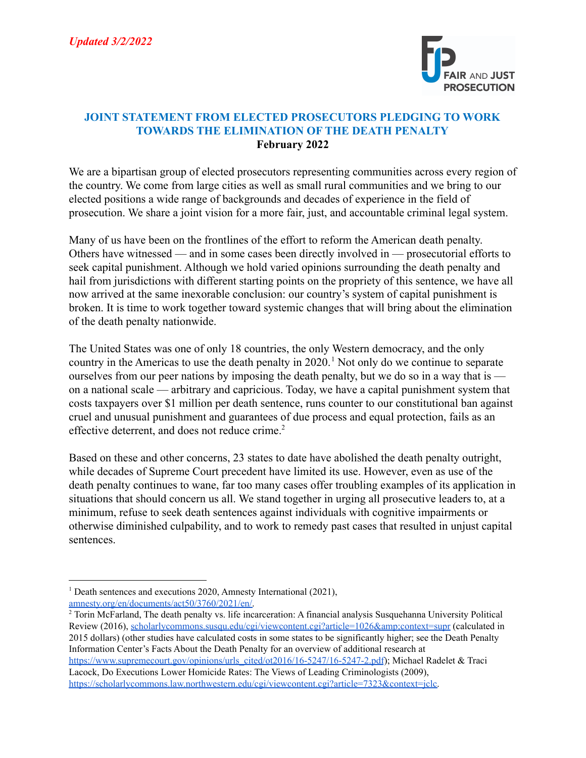

## **JOINT STATEMENT FROM ELECTED PROSECUTORS PLEDGING TO WORK TOWARDS THE ELIMINATION OF THE DEATH PENALTY February 2022**

We are a bipartisan group of elected prosecutors representing communities across every region of the country. We come from large cities as well as small rural communities and we bring to our elected positions a wide range of backgrounds and decades of experience in the field of prosecution. We share a joint vision for a more fair, just, and accountable criminal legal system.

Many of us have been on the frontlines of the effort to reform the American death penalty. Others have witnessed — and in some cases been directly involved in — prosecutorial efforts to seek capital punishment. Although we hold varied opinions surrounding the death penalty and hail from jurisdictions with different starting points on the propriety of this sentence, we have all now arrived at the same inexorable conclusion: our country's system of capital punishment is broken. It is time to work together toward systemic changes that will bring about the elimination of the death penalty nationwide.

The United States was one of only 18 countries, the only Western democracy, and the only country in the Americas to use the death penalty in  $2020$ .<sup>1</sup> Not only do we continue to separate ourselves from our peer nations by imposing the death penalty, but we do so in a way that is on a national scale — arbitrary and capricious. Today, we have a capital punishment system that costs taxpayers over \$1 million per death sentence, runs counter to our constitutional ban against cruel and unusual punishment and guarantees of due process and equal protection, fails as an effective deterrent, and does not reduce crime.<sup>2</sup>

Based on these and other concerns, 23 states to date have abolished the death penalty outright, while decades of Supreme Court precedent have limited its use. However, even as use of the death penalty continues to wane, far too many cases offer troubling examples of its application in situations that should concern us all. We stand together in urging all prosecutive leaders to, at a minimum, refuse to seek death sentences against individuals with cognitive impairments or otherwise diminished culpability, and to work to remedy past cases that resulted in unjust capital sentences.

 $1$  Death sentences and executions 2020, Amnesty International (2021), [amnesty.org/en/documents/act50/3760/2021/en/.](https://www.amnesty.org/en/documents/act50/3760/2021/en/)

<sup>2</sup> Torin McFarland, The death penalty vs. life incarceration: A financial analysis Susquehanna University Political Review (2016), scholarlycommons.susqu.edu/cgi/viewcontent.cgi?article=1026&amp:context=supr (calculated in 2015 dollars) (other studies have calculated costs in some states to be significantly higher; see the Death Penalty Information Center's Facts About the Death Penalty for an overview of additional research at [https://www.supremecourt.gov/opinions/urls\\_cited/ot2016/16-5247/16-5247-2.pdf](https://www.supremecourt.gov/opinions/urls_cited/ot2016/16-5247/16-5247-2.pdf)); Michael Radelet & Traci

Lacock, Do Executions Lower Homicide Rates: The Views of Leading Criminologists (2009), [https://scholarlycommons.law.northwestern.edu/cgi/viewcontent.cgi?article=7323&context=jclc.](https://scholarlycommons.law.northwestern.edu/cgi/viewcontent.cgi?article=7323&context=jclc)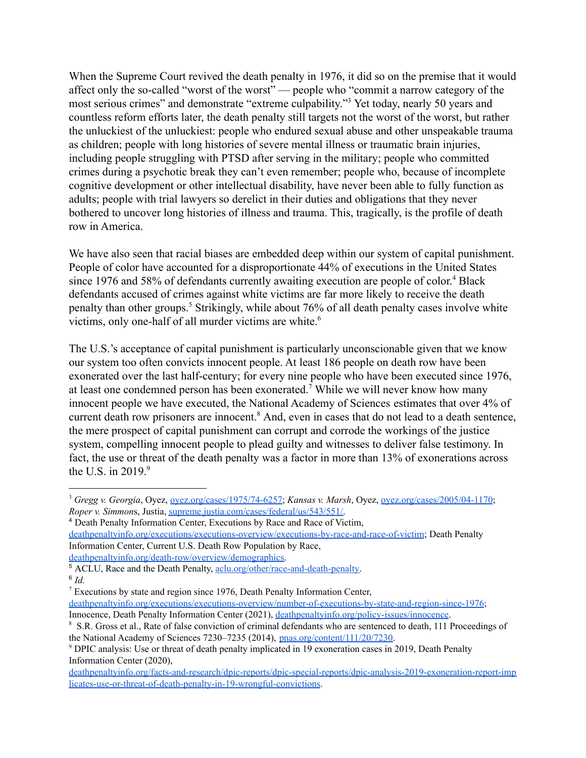When the Supreme Court revived the death penalty in 1976, it did so on the premise that it would affect only the so-called "worst of the worst" — people who "commit a narrow category of the most serious crimes" and demonstrate "extreme culpability."<sup>3</sup> Yet today, nearly 50 years and countless reform efforts later, the death penalty still targets not the worst of the worst, but rather the unluckiest of the unluckiest: people who endured sexual abuse and other unspeakable trauma as children; people with long histories of severe mental illness or traumatic brain injuries, including people struggling with PTSD after serving in the military; people who committed crimes during a psychotic break they can't even remember; people who, because of incomplete cognitive development or other intellectual disability, have never been able to fully function as adults; people with trial lawyers so derelict in their duties and obligations that they never bothered to uncover long histories of illness and trauma. This, tragically, is the profile of death row in America.

We have also seen that racial biases are embedded deep within our system of capital punishment. People of color have accounted for a disproportionate 44% of executions in the United States since 1976 and 58% of defendants currently awaiting execution are people of color.<sup>4</sup> Black defendants accused of crimes against white victims are far more likely to receive the death penalty than other groups.<sup>5</sup> Strikingly, while about 76% of all death penalty cases involve white victims, only one-half of all murder victims are white.<sup>6</sup>

The U.S.'s acceptance of capital punishment is particularly unconscionable given that we know our system too often convicts innocent people. At least 186 people on death row have been exonerated over the last half-century; for every nine people who have been executed since 1976, at least one condemned person has been exonerated.<sup>7</sup> While we will never know how many innocent people we have executed, the National Academy of Sciences estimates that over 4% of current death row prisoners are innocent.<sup>8</sup> And, even in cases that do not lead to a death sentence, the mere prospect of capital punishment can corrupt and corrode the workings of the justice system, compelling innocent people to plead guilty and witnesses to deliver false testimony. In fact, the use or threat of the death penalty was a factor in more than 13% of exonerations across the U.S. in  $2019.9$ 

[deathpenaltyinfo.org/executions/executions-overview/executions-by-race-and-race-of-victim](https://deathpenaltyinfo.org/executions/executions-overview/executions-by-race-and-race-of-victim); Death Penalty Information Center, Current U.S. Death Row Population by Race,

<sup>3</sup> *Gregg v. Georgia*, Oyez, [oyez.org/cases/1975/74-6257](https://www.oyez.org/cases/1975/74-6257); *Kansas v. Marsh*, Oyez, [oyez.org/cases/2005/04-1170](https://www.oyez.org/cases/2005/04-1170); *Roper v. Simmon*s, Justia, [supreme.justia.com/cases/federal/us/543/551/.](https://supreme.justia.com/cases/federal/us/543/551/)

<sup>4</sup> Death Penalty Information Center, Executions by Race and Race of Victim,

[deathpenaltyinfo.org/death-row/overview/demographics.](http://deathpenaltyinfo.org/death-row/overview/demographics)

<sup>6</sup> *Id.* <sup>5</sup> ACLU, Race and the Death Penalty, [aclu.org/other/race-and-death-penalty.](https://www.aclu.org/other/race-and-death-penalty)

<sup>7</sup> Executions by state and region since 1976, Death Penalty Information Center, [deathpenaltyinfo.org/executions/executions-overview/number-of-executions-by-state-and-region-since-1976](https://deathpenaltyinfo.org/executions/executions-overview/number-of-executions-by-state-and-region-since-1976); Innocence, Death Penalty Information Center (2021), [deathpenaltyinfo.org/policy-issues/innocence](http://deathpenaltyinfo.org/policy-issues/innocence).

<sup>&</sup>lt;sup>8</sup> S.R. Gross et al., Rate of false conviction of criminal defendants who are sentenced to death, 111 Proceedings of the National Academy of Sciences 7230–7235 (2014), [pnas.org/content/111/20/7230.](https://www.pnas.org/content/111/20/7230)

<sup>9</sup> DPIC analysis: Use or threat of death penalty implicated in 19 exoneration cases in 2019, Death Penalty Information Center (2020),

[deathpenaltyinfo.org/facts-and-research/dpic-reports/dpic-special-reports/dpic-analysis-2019-exoneration-report-imp](http://deathpenaltyinfo.org/facts-and-research/dpic-reports/dpic-special-reports/dpic-analysis-2019-exoneration-report-implicates-use-or-threat-of-death-penalty-in-19-wrongful-convictions) [licates-use-or-threat-of-death-penalty-in-19-wrongful-convictions.](http://deathpenaltyinfo.org/facts-and-research/dpic-reports/dpic-special-reports/dpic-analysis-2019-exoneration-report-implicates-use-or-threat-of-death-penalty-in-19-wrongful-convictions)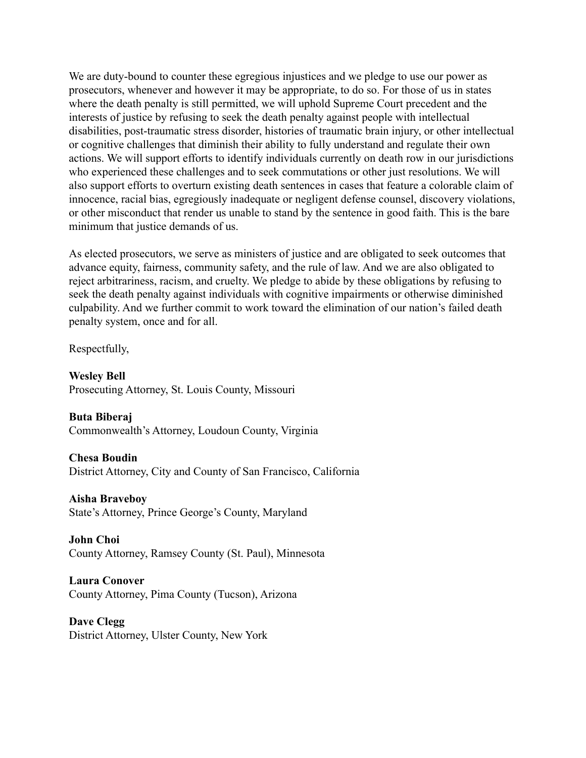We are duty-bound to counter these egregious injustices and we pledge to use our power as prosecutors, whenever and however it may be appropriate, to do so. For those of us in states where the death penalty is still permitted, we will uphold Supreme Court precedent and the interests of justice by refusing to seek the death penalty against people with intellectual disabilities, post-traumatic stress disorder, histories of traumatic brain injury, or other intellectual or cognitive challenges that diminish their ability to fully understand and regulate their own actions. We will support efforts to identify individuals currently on death row in our jurisdictions who experienced these challenges and to seek commutations or other just resolutions. We will also support efforts to overturn existing death sentences in cases that feature a colorable claim of innocence, racial bias, egregiously inadequate or negligent defense counsel, discovery violations, or other misconduct that render us unable to stand by the sentence in good faith. This is the bare minimum that justice demands of us.

As elected prosecutors, we serve as ministers of justice and are obligated to seek outcomes that advance equity, fairness, community safety, and the rule of law. And we are also obligated to reject arbitrariness, racism, and cruelty. We pledge to abide by these obligations by refusing to seek the death penalty against individuals with cognitive impairments or otherwise diminished culpability. And we further commit to work toward the elimination of our nation's failed death penalty system, once and for all.

Respectfully,

**Wesley Bell** Prosecuting Attorney, St. Louis County, Missouri

**Buta Biberaj** Commonwealth's Attorney, Loudoun County, Virginia

**Chesa Boudin** District Attorney, City and County of San Francisco, California

**Aisha Braveboy** State's Attorney, Prince George's County, Maryland

**John Choi** County Attorney, Ramsey County (St. Paul), Minnesota

**Laura Conover** County Attorney, Pima County (Tucson), Arizona

**Dave Clegg** District Attorney, Ulster County, New York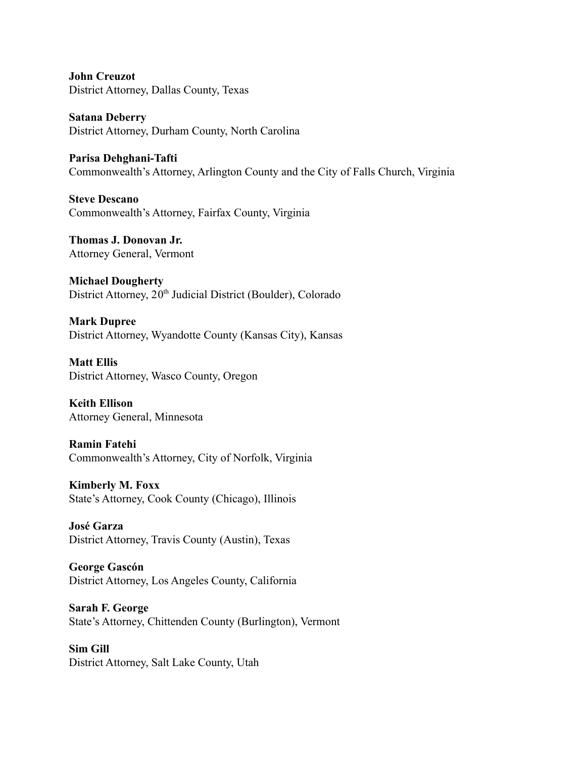**John Creuzot** District Attorney, Dallas County, Texas

**Satana Deberry** District Attorney, Durham County, North Carolina

**Parisa Dehghani-Tafti** Commonwealth's Attorney, Arlington County and the City of Falls Church, Virginia

**Steve Descano** Commonwealth's Attorney, Fairfax County, Virginia

**Thomas J. Donovan Jr.** Attorney General, Vermont

**Michael Dougherty** District Attorney, 20<sup>th</sup> Judicial District (Boulder), Colorado

**Mark Dupree** District Attorney, Wyandotte County (Kansas City), Kansas

**Matt Ellis** District Attorney, Wasco County, Oregon

**Keith Ellison** Attorney General, Minnesota

**Ramin Fatehi** Commonwealth's Attorney, City of Norfolk, Virginia

**Kimberly M. Foxx** State's Attorney, Cook County (Chicago), Illinois

**José Garza** District Attorney, Travis County (Austin), Texas

**George Gascón** District Attorney, Los Angeles County, California

**Sarah F. George** State's Attorney, Chittenden County (Burlington), Vermont

**Sim Gill** District Attorney, Salt Lake County, Utah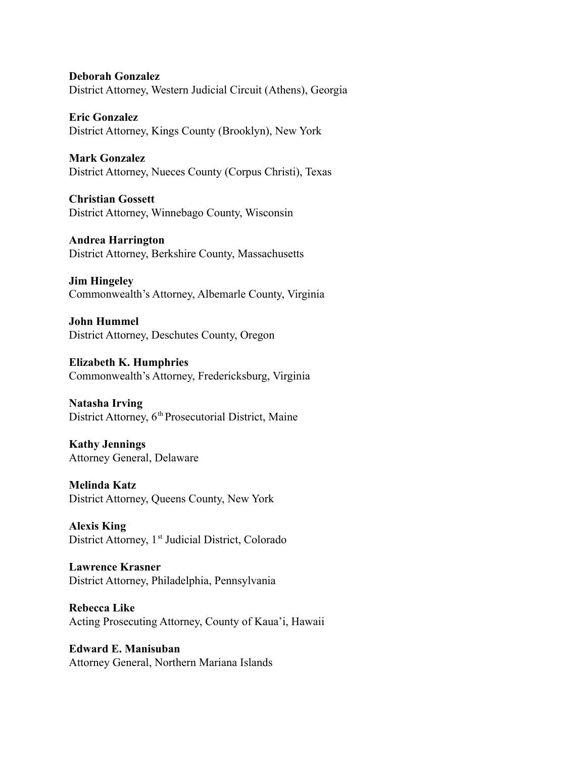**Deborah Gonzalez** District Attorney, Western Judicial Circuit (Athens), Georgia

**Eric Gonzalez** District Attorney, Kings County (Brooklyn), New York

**Mark Gonzalez** District Attorney, Nueces County (Corpus Christi), Texas

**Christian Gossett** District Attorney, Winnebago County, Wisconsin

**Andrea Harrington** District Attorney, Berkshire County, Massachusetts

**Jim Hingeley** Commonwealth's Attorney, Albemarle County, Virginia

**John Hummel** District Attorney, Deschutes County, Oregon

**Elizabeth K. Humphries** Commonwealth's Attorney, Fredericksburg, Virginia

**Natasha Irving** District Attorney, 6<sup>th</sup> Prosecutorial District, Maine

**Kathy Jennings** Attorney General, Delaware

**Melinda Katz** District Attorney, Queens County, New York

**Alexis King** District Attorney, 1<sup>st</sup> Judicial District, Colorado

**Lawrence Krasner** District Attorney, Philadelphia, Pennsylvania

**Rebecca Like** Acting Prosecuting Attorney, County of Kaua'i, Hawaii

**Edward E. Manisuban** Attorney General, Northern Mariana Islands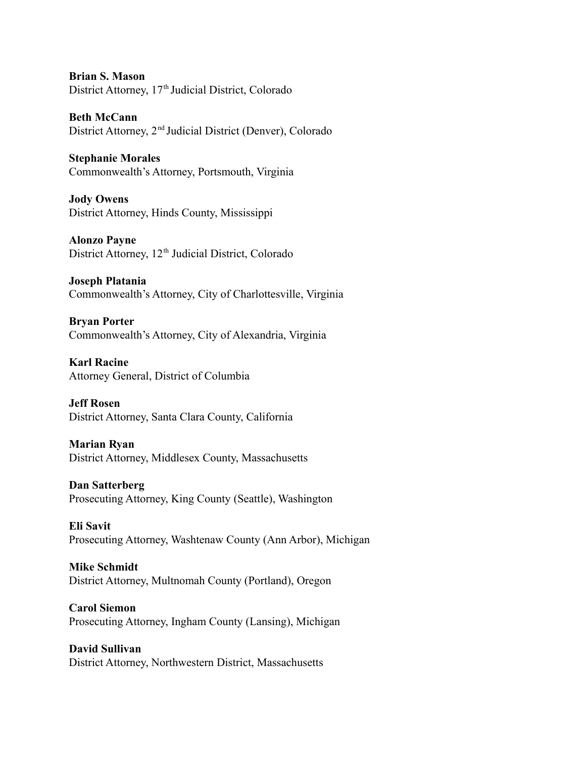**Brian S. Mason** District Attorney, 17<sup>th</sup> Judicial District, Colorado

**Beth McCann** District Attorney, 2<sup>nd</sup> Judicial District (Denver), Colorado

**Stephanie Morales** Commonwealth's Attorney, Portsmouth, Virginia

**Jody Owens** District Attorney, Hinds County, Mississippi

**Alonzo Payne** District Attorney, 12<sup>th</sup> Judicial District, Colorado

**Joseph Platania** Commonwealth's Attorney, City of Charlottesville, Virginia

**Bryan Porter** Commonwealth's Attorney, City of Alexandria, Virginia

**Karl Racine** Attorney General, District of Columbia

**Jeff Rosen** District Attorney, Santa Clara County, California

## **Marian Ryan**

District Attorney, Middlesex County, Massachusetts

**Dan Satterberg** Prosecuting Attorney, King County (Seattle), Washington

**Eli Savit** Prosecuting Attorney, Washtenaw County (Ann Arbor), Michigan

**Mike Schmidt** District Attorney, Multnomah County (Portland), Oregon

**Carol Siemon** Prosecuting Attorney, Ingham County (Lansing), Michigan

**David Sullivan** District Attorney, Northwestern District, Massachusetts